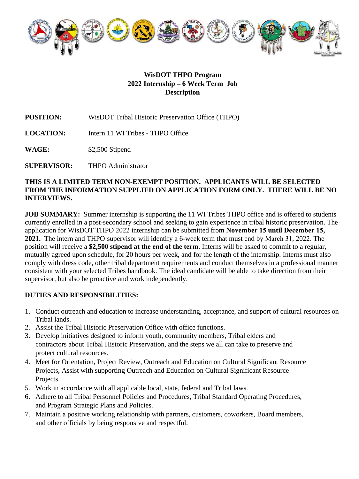

#### **WisDOT THPO Program 2022 Internship – 6 Week Term Job Description**

**POSITION:** WisDOT Tribal Historic Preservation Office (THPO)

**LOCATION:** Intern 11 WI Tribes - THPO Office

**WAGE:** \$2,500 Stipend

**SUPERVISOR:**  THPO Administrator

#### **THIS IS A LIMITED TERM NON-EXEMPT POSITION. APPLICANTS WILL BE SELECTED FROM THE INFORMATION SUPPLIED ON APPLICATION FORM ONLY. THERE WILL BE NO INTERVIEWS.**

**JOB SUMMARY:** Summer internship is supporting the 11 WI Tribes THPO office and is offered to students currently enrolled in a post-secondary school and seeking to gain experience in tribal historic preservation. The application for WisDOT THPO 2022 internship can be submitted from **November 15 until December 15, 2021.** The intern and THPO supervisor will identify a 6-week term that must end by March 31, 2022. The position will receive a **\$2,500 stipend at the end of the term**. Interns will be asked to commit to a regular, mutually agreed upon schedule, for 20 hours per week, and for the length of the internship. Interns must also comply with dress code, other tribal department requirements and conduct themselves in a professional manner consistent with your selected Tribes handbook. The ideal candidate will be able to take direction from their supervisor, but also be proactive and work independently.

## **DUTIES AND RESPONSIBILITIES:**

- 1. Conduct outreach and education to increase understanding, acceptance, and support of cultural resources on Tribal lands.
- 2. Assist the Tribal Historic Preservation Office with office functions.
- 3. Develop initiatives designed to inform youth, community members, Tribal elders and contractors about Tribal Historic Preservation, and the steps we all can take to preserve and protect cultural resources.
- 4. Meet for Orientation, Project Review, Outreach and Education on Cultural Significant Resource Projects, Assist with supporting Outreach and Education on Cultural Significant Resource Projects.
- 5. Work in accordance with all applicable local, state, federal and Tribal laws.
- 6. Adhere to all Tribal Personnel Policies and Procedures, Tribal Standard Operating Procedures, and Program Strategic Plans and Policies.
- 7. Maintain a positive working relationship with partners, customers, coworkers, Board members, and other officials by being responsive and respectful.